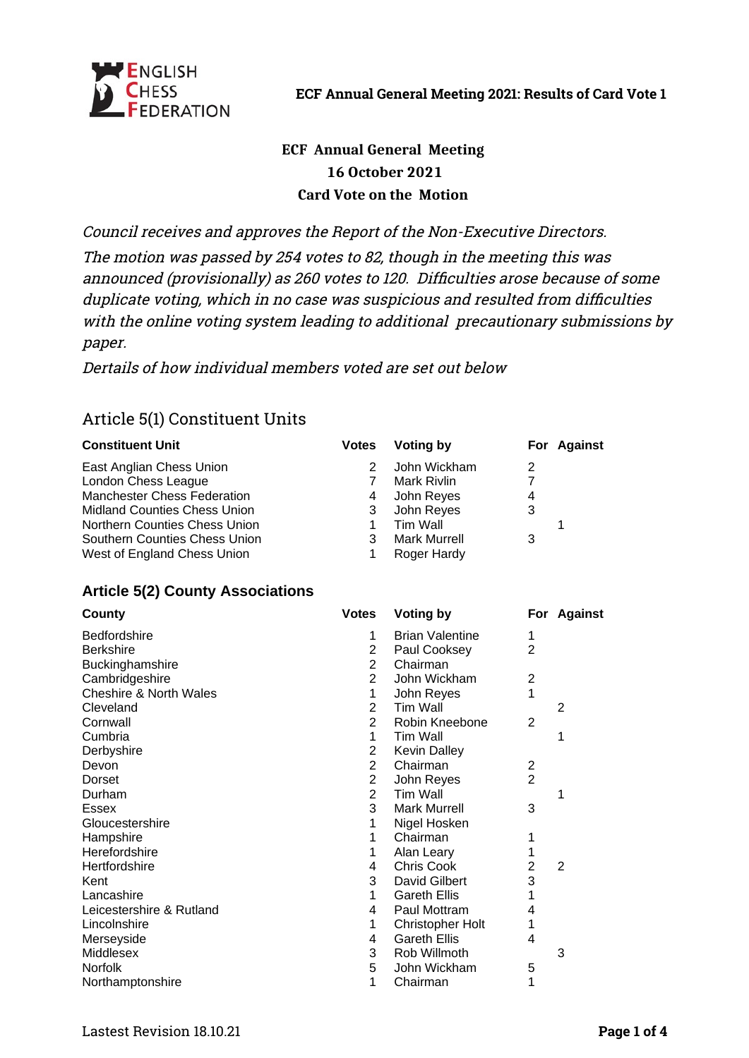

## **ECF Annual General Meeting 16 October 2021 Card Vote on the Motion**

Council receives and approves the Report of the Non-Executive Directors.

The motion was passed by 254 votes to 82, though in the meeting this was announced (provisionally) as 260 votes to 120. Difficulties arose because of some duplicate voting, which in no case was suspicious and resulted from difficulties with the online voting system leading to additional precautionary submissions by paper.

Dertails of how individual members voted are set out below

# Article 5(1) Constituent Units

| <b>Constituent Unit</b>                 | <b>Votes</b>   | <b>Voting by</b>       |                | For Against    |
|-----------------------------------------|----------------|------------------------|----------------|----------------|
| East Anglian Chess Union                | $\overline{c}$ | John Wickham           | 2              |                |
| London Chess League                     | $\overline{7}$ | Mark Rivlin            | $\overline{7}$ |                |
| <b>Manchester Chess Federation</b>      | 4              | John Reyes             | 4              |                |
| <b>Midland Counties Chess Union</b>     | 3              | John Reyes             | 3              |                |
| Northern Counties Chess Union           | $\mathbf{1}$   | <b>Tim Wall</b>        |                | $\mathbf{1}$   |
| Southern Counties Chess Union           | 3              | <b>Mark Murrell</b>    | 3              |                |
| West of England Chess Union             | $\mathbf{1}$   | Roger Hardy            |                |                |
| <b>Article 5(2) County Associations</b> |                |                        |                |                |
| County                                  | <b>Votes</b>   | <b>Voting by</b>       |                | For Against    |
| Bedfordshire                            | $\mathbf{1}$   | <b>Brian Valentine</b> | 1              |                |
| <b>Berkshire</b>                        | $\overline{2}$ | Paul Cooksey           | $\overline{2}$ |                |
| Buckinghamshire                         | $\overline{2}$ | Chairman               |                |                |
| Cambridgeshire                          | $\overline{2}$ | John Wickham           | $\overline{c}$ |                |
| <b>Cheshire &amp; North Wales</b>       | $\mathbf{1}$   | John Reyes             | $\mathbf{1}$   |                |
| Cleveland                               | $\overline{c}$ | Tim Wall               |                | $\overline{2}$ |
| Cornwall                                | $\overline{2}$ | Robin Kneebone         | $\overline{c}$ |                |
| Cumbria                                 | $\mathbf{1}$   | <b>Tim Wall</b>        |                | $\mathbf{1}$   |
| Derbyshire                              | $\overline{2}$ | <b>Kevin Dalley</b>    |                |                |
| Devon                                   | $\overline{c}$ | Chairman               | $\overline{c}$ |                |
| Dorset                                  | $\overline{c}$ | John Reyes             | $\overline{2}$ |                |
| Durham                                  | $\overline{c}$ | Tim Wall               |                | $\mathbf{1}$   |
| <b>Essex</b>                            | 3              | <b>Mark Murrell</b>    | 3              |                |
| Gloucestershire                         | 1              | Nigel Hosken           |                |                |
| Hampshire                               | $\mathbf{1}$   | Chairman               | 1              |                |
| Herefordshire                           | $\mathbf 1$    | Alan Leary             | $\mathbf{1}$   |                |
| Hertfordshire                           | 4              | Chris Cook             | $\overline{2}$ | $\overline{2}$ |
| Kent                                    | 3              | David Gilbert          | 3              |                |
| Lancashire                              | $\mathbf{1}$   | <b>Gareth Ellis</b>    | $\mathbf{1}$   |                |
| Leicestershire & Rutland                | 4              | Paul Mottram           | 4              |                |
| Lincolnshire                            | $\mathbf{1}$   | Christopher Holt       | $\mathbf{1}$   |                |
| Merseyside                              | $\overline{4}$ | <b>Gareth Ellis</b>    | 4              |                |
| Middlesex                               | 3              | Rob Willmoth           |                | 3              |
| <b>Norfolk</b>                          | 5              | John Wickham           | 5              |                |
| Northamptonshire                        | $\mathbf{1}$   | Chairman               | $\mathbf{1}$   |                |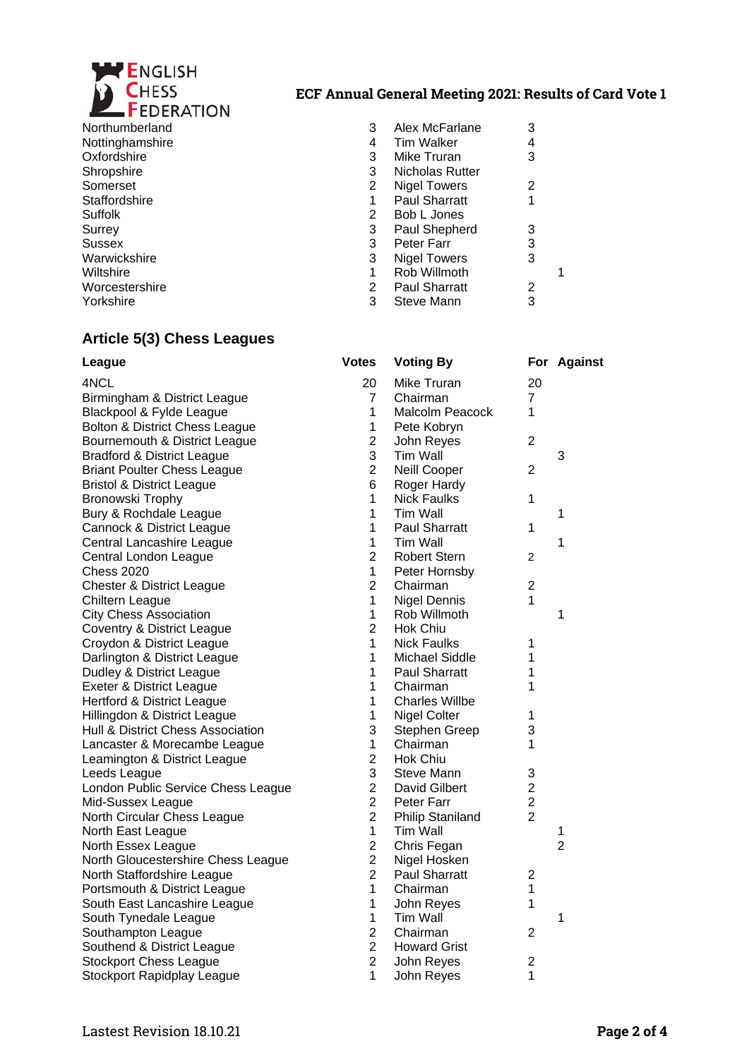

**ECF Annual General Meeting 2021: Results of Card Vote 1**

| Northumberland  | 3 | Alex McFarlane       | 3 |   |
|-----------------|---|----------------------|---|---|
| Nottinghamshire | 4 | <b>Tim Walker</b>    | 4 |   |
| Oxfordshire     | 3 | Mike Truran          | 3 |   |
| Shropshire      | 3 | Nicholas Rutter      |   |   |
| Somerset        | 2 | Nigel Towers         | 2 |   |
| Staffordshire   |   | <b>Paul Sharratt</b> | 1 |   |
| Suffolk         | 2 | Bob L Jones          |   |   |
| Surrey          | 3 | Paul Shepherd        | 3 |   |
| <b>Sussex</b>   | 3 | Peter Farr           | 3 |   |
| Warwickshire    | 3 | Nigel Towers         | 3 |   |
| Wiltshire       |   | Rob Willmoth         |   | 1 |
| Worcestershire  | 2 | <b>Paul Sharratt</b> | 2 |   |
| Yorkshire       | 3 | Steve Mann           | 3 |   |
|                 |   |                      |   |   |

### **Article 5(3) Chess Leagues**

| League                                | <b>Votes</b>   | <b>Voting By</b>        |                         | For Against    |
|---------------------------------------|----------------|-------------------------|-------------------------|----------------|
| 4NCL                                  | 20             | Mike Truran             | 20                      |                |
| Birmingham & District League          | 7              | Chairman                | 7                       |                |
| Blackpool & Fylde League              | $\mathbf{1}$   | Malcolm Peacock         | 1                       |                |
| Bolton & District Chess League        | $\mathbf{1}$   | Pete Kobryn             |                         |                |
| Bournemouth & District League         | $\overline{c}$ | John Reyes              | $\overline{c}$          |                |
| <b>Bradford &amp; District League</b> | 3              | <b>Tim Wall</b>         |                         | 3              |
| <b>Briant Poulter Chess League</b>    | $\overline{c}$ | Neill Cooper            | $\overline{c}$          |                |
| <b>Bristol &amp; District League</b>  | 6              | Roger Hardy             |                         |                |
| Bronowski Trophy                      | $\mathbf{1}$   | <b>Nick Faulks</b>      | $\mathbf 1$             |                |
| Bury & Rochdale League                | $\mathbf{1}$   | Tim Wall                |                         | $\mathbf 1$    |
| Cannock & District League             | $\mathbf 1$    | Paul Sharratt           | $\mathbf{1}$            |                |
| Central Lancashire League             | $\mathbf{1}$   | Tim Wall                |                         | $\mathbf 1$    |
| Central London League                 | $\overline{c}$ | <b>Robert Stern</b>     | 2                       |                |
| <b>Chess 2020</b>                     | $\mathbf{1}$   | Peter Hornsby           |                         |                |
| Chester & District League             | $\overline{c}$ | Chairman                | $\overline{c}$          |                |
| Chiltern League                       | $\mathbf{1}$   | <b>Nigel Dennis</b>     | $\mathbf{1}$            |                |
| <b>City Chess Association</b>         | $\mathbf{1}$   | Rob Willmoth            |                         | 1              |
| Coventry & District League            | $\overline{c}$ | Hok Chiu                |                         |                |
| Croydon & District League             | $\mathbf{1}$   | <b>Nick Faulks</b>      | 1                       |                |
| Darlington & District League          | $\mathbf 1$    | Michael Siddle          | $\mathbf{1}$            |                |
| Dudley & District League              | $\mathbf{1}$   | Paul Sharratt           | $\mathbf{1}$            |                |
| Exeter & District League              | $\mathbf 1$    | Chairman                | 1                       |                |
| Hertford & District League            | $\mathbf{1}$   | <b>Charles Willbe</b>   |                         |                |
| Hillingdon & District League          | $\mathbf{1}$   | Nigel Colter            | 1                       |                |
| Hull & District Chess Association     | 3              | Stephen Greep           | 3                       |                |
| Lancaster & Morecambe League          | $\mathbf{1}$   | Chairman                | 1                       |                |
| Leamington & District League          | $\overline{c}$ | Hok Chiu                |                         |                |
| Leeds League                          | 3              | Steve Mann              | 3                       |                |
| London Public Service Chess League    | $\overline{2}$ | David Gilbert           | $\overline{c}$          |                |
| Mid-Sussex League                     | $\overline{c}$ | Peter Farr              | $\overline{c}$          |                |
| North Circular Chess League           | $\overline{c}$ | <b>Philip Staniland</b> | $\overline{c}$          |                |
| North East League                     | $\mathbf{1}$   | <b>Tim Wall</b>         |                         | 1              |
| North Essex League                    | $\overline{c}$ | Chris Fegan             |                         | $\overline{2}$ |
| North Gloucestershire Chess League    | $\overline{c}$ | Nigel Hosken            |                         |                |
| North Staffordshire League            | $\overline{c}$ | <b>Paul Sharratt</b>    | $\overline{c}$          |                |
| Portsmouth & District League          | $\mathbf{1}$   | Chairman                | $\mathbf{1}$            |                |
| South East Lancashire League          | $\mathbf{1}$   | John Reyes              | $\mathbf{1}$            |                |
| South Tynedale League                 | $\mathbf{1}$   | Tim Wall                |                         | $\mathbf 1$    |
| Southampton League                    | $\overline{c}$ | Chairman                | $\overline{c}$          |                |
| Southend & District League            | $\overline{c}$ | <b>Howard Grist</b>     |                         |                |
| <b>Stockport Chess League</b>         | $\overline{c}$ | John Reyes              | $\overline{\mathbf{c}}$ |                |
| <b>Stockport Rapidplay League</b>     | $\mathbf{1}$   | John Reyes              | $\mathbf{1}$            |                |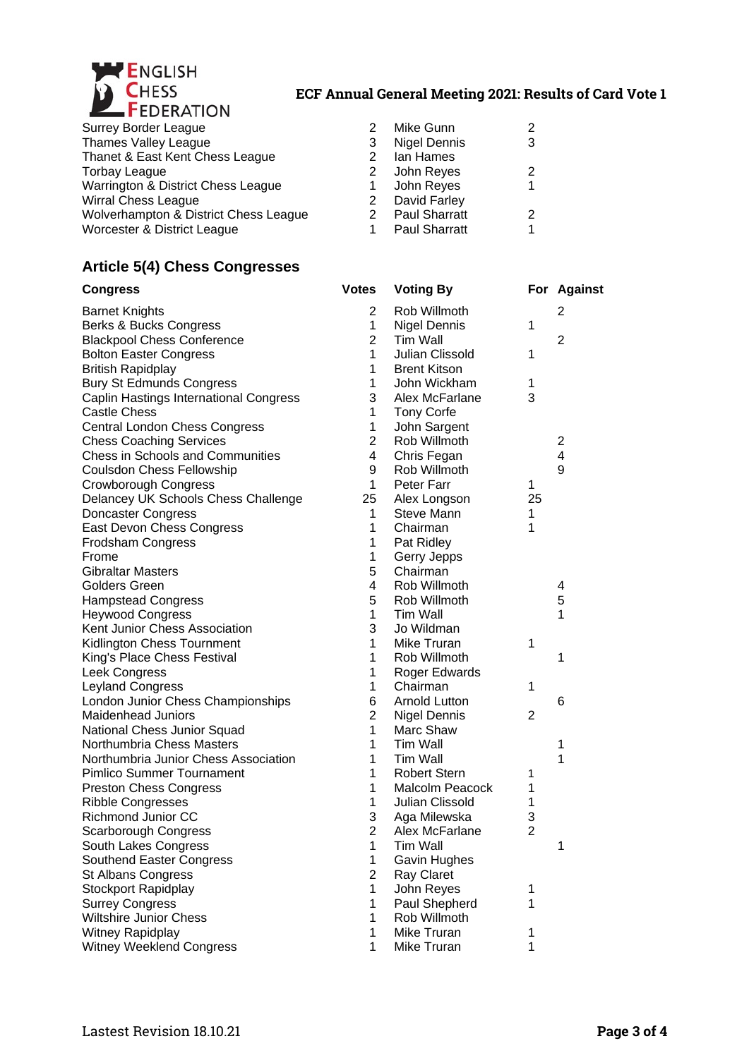

#### **ECF Annual General Meeting 2021: Results of Card Vote 1**

| <b>Surrey Border League</b>           | Mike Gunn            | $\overline{c}$ |
|---------------------------------------|----------------------|----------------|
| Thames Valley League                  | <b>Nigel Dennis</b>  | 3              |
| Thanet & East Kent Chess League       | Ian Hames            |                |
| Torbay League                         | John Reyes           | $\overline{c}$ |
| Warrington & District Chess League    | John Reyes           | $\mathbf{1}$   |
| Wirral Chess League                   | David Farley         |                |
| Wolverhampton & District Chess League | <b>Paul Sharratt</b> | $\overline{c}$ |
| Worcester & District League           | <b>Paul Sharratt</b> | $\mathbf{1}$   |

#### **Article 5(4) Chess Congresses**

| <b>Congress</b>                         | <b>Votes</b>   | <b>Voting By</b>    |                | For Against    |
|-----------------------------------------|----------------|---------------------|----------------|----------------|
| <b>Barnet Knights</b>                   | $\overline{c}$ | Rob Willmoth        |                | 2              |
| Berks & Bucks Congress                  | $\mathbf 1$    | <b>Nigel Dennis</b> | 1              |                |
| <b>Blackpool Chess Conference</b>       | $\overline{2}$ | Tim Wall            |                | $\overline{2}$ |
| <b>Bolton Easter Congress</b>           | $\mathbf 1$    | Julian Clissold     | 1              |                |
| <b>British Rapidplay</b>                | $\mathbf 1$    | <b>Brent Kitson</b> |                |                |
| <b>Bury St Edmunds Congress</b>         | $\mathbf 1$    | John Wickham        | $\mathbf{1}$   |                |
| Caplin Hastings International Congress  | 3              | Alex McFarlane      | 3              |                |
| <b>Castle Chess</b>                     | 1              | <b>Tony Corfe</b>   |                |                |
| Central London Chess Congress           | $\mathbf 1$    | John Sargent        |                |                |
| <b>Chess Coaching Services</b>          | $\overline{2}$ | Rob Willmoth        |                | $\overline{c}$ |
| <b>Chess in Schools and Communities</b> | 4              | Chris Fegan         |                | 4              |
| Coulsdon Chess Fellowship               | 9              | Rob Willmoth        |                | 9              |
| Crowborough Congress                    | $\mathbf{1}$   | Peter Farr          | 1              |                |
| Delancey UK Schools Chess Challenge     | 25             | Alex Longson        | 25             |                |
| Doncaster Congress                      | $\mathbf{1}$   | Steve Mann          | 1              |                |
| East Devon Chess Congress               | $\mathbf 1$    | Chairman            | 1              |                |
| Frodsham Congress                       | $\mathbf 1$    | Pat Ridley          |                |                |
| Frome                                   | $\mathbf 1$    | Gerry Jepps         |                |                |
| <b>Gibraltar Masters</b>                | 5              | Chairman            |                |                |
| <b>Golders Green</b>                    | 4              | Rob Willmoth        |                | 4              |
| <b>Hampstead Congress</b>               | 5              | Rob Willmoth        |                | 5              |
| <b>Heywood Congress</b>                 | $\mathbf 1$    | Tim Wall            |                | $\mathbf{1}$   |
| Kent Junior Chess Association           | 3              | Jo Wildman          |                |                |
| Kidlington Chess Tournment              | $\mathbf{1}$   | Mike Truran         | 1              |                |
| King's Place Chess Festival             | $\mathbf 1$    | Rob Willmoth        |                | $\mathbf 1$    |
| Leek Congress                           | $\mathbf{1}$   | Roger Edwards       |                |                |
| Leyland Congress                        | $\mathbf 1$    | Chairman            | 1              |                |
| London Junior Chess Championships       | 6              | Arnold Lutton       |                | 6              |
| <b>Maidenhead Juniors</b>               | $\overline{2}$ | <b>Nigel Dennis</b> | 2              |                |
| National Chess Junior Squad             | $\mathbf 1$    | Marc Shaw           |                |                |
| Northumbria Chess Masters               | $\mathbf{1}$   | Tim Wall            |                | 1              |
| Northumbria Junior Chess Association    | $\mathbf{1}$   | Tim Wall            |                | $\mathbf{1}$   |
| Pimlico Summer Tournament               | $\mathbf 1$    | <b>Robert Stern</b> | 1              |                |
| <b>Preston Chess Congress</b>           | 1              | Malcolm Peacock     | 1              |                |
| <b>Ribble Congresses</b>                | 1              | Julian Clissold     | 1              |                |
| <b>Richmond Junior CC</b>               | 3              | Aga Milewska        | 3              |                |
| Scarborough Congress                    | $\overline{c}$ | Alex McFarlane      | $\overline{2}$ |                |
| South Lakes Congress                    | $\mathbf{1}$   | Tim Wall            |                | 1              |
| Southend Easter Congress                | $\mathbf{1}$   | Gavin Hughes        |                |                |
| <b>St Albans Congress</b>               | $\overline{2}$ | Ray Claret          |                |                |
| Stockport Rapidplay                     | $\mathbf 1$    | John Reyes          | 1              |                |
| <b>Surrey Congress</b>                  | $\mathbf 1$    | Paul Shepherd       | 1              |                |
| Wiltshire Junior Chess                  | $\mathbf{1}$   | Rob Willmoth        |                |                |
| <b>Witney Rapidplay</b>                 | $\mathbf 1$    | Mike Truran         | 1              |                |
| <b>Witney Weeklend Congress</b>         | 1              | Mike Truran         | $\mathbf 1$    |                |